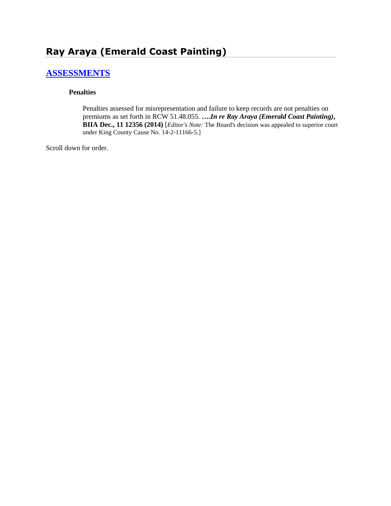# **Ray Araya (Emerald Coast Painting)**

# **[ASSESSMENTS](http://www.biia.wa.gov/SDSubjectIndex.html#ASSESSMENTS)**

#### **Penalties**

Penalties assessed for misrepresentation and failure to keep records are not penalties on premiums as set forth in RCW 51.48.055. **….***In re Ray Araya (Emerald Coast Painting)***, BIIA Dec., 11 12356 (2014)** [*Editor's Note:* The Board's decision was appealed to superior court under King County Cause No. 14-2-11166-5.]

Scroll down for order.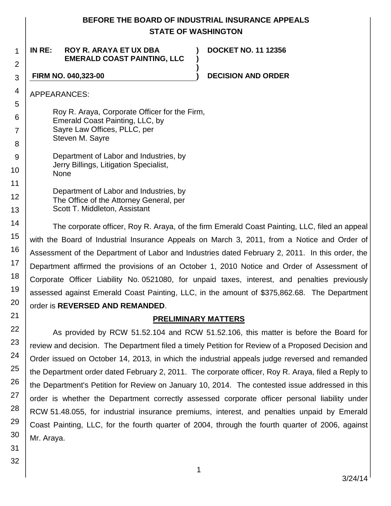# **BEFORE THE BOARD OF INDUSTRIAL INSURANCE APPEALS STATE OF WASHINGTON**

**) )**

**)**

#### 1 2 **IN RE: ROY R. ARAYA ET UX DBA EMERALD COAST PAINTING, LLC**

**DOCKET NO. 11 12356**

**FIRM NO. 040,323-00 ) DECISION AND ORDER**

APPEARANCES:

3

4

5 6

7

8 9

10

11

12

13 14

15

16

17

18 19

20

21

22

23

Roy R. Araya, Corporate Officer for the Firm, Emerald Coast Painting, LLC, by Sayre Law Offices, PLLC, per Steven M. Sayre

Department of Labor and Industries, by Jerry Billings, Litigation Specialist, None

Department of Labor and Industries, by The Office of the Attorney General, per Scott T. Middleton, Assistant

The corporate officer, Roy R. Araya, of the firm Emerald Coast Painting, LLC, filed an appeal with the Board of Industrial Insurance Appeals on March 3, 2011, from a Notice and Order of Assessment of the Department of Labor and Industries dated February 2, 2011. In this order, the Department affirmed the provisions of an October 1, 2010 Notice and Order of Assessment of Corporate Officer Liability No. 0521080, for unpaid taxes, interest, and penalties previously assessed against Emerald Coast Painting, LLC, in the amount of \$375,862.68. The Department order is **REVERSED AND REMANDED**.

# **PRELIMINARY MATTERS**

As provided by RCW 51.52.104 and RCW 51.52.106, this matter is before the Board for review and decision. The Department filed a timely Petition for Review of a Proposed Decision and Order issued on October 14, 2013, in which the industrial appeals judge reversed and remanded the Department order dated February 2, 2011. The corporate officer, Roy R. Araya, filed a Reply to the Department's Petition for Review on January 10, 2014. The contested issue addressed in this order is whether the Department correctly assessed corporate officer personal liability under RCW 51.48.055, for industrial insurance premiums, interest, and penalties unpaid by Emerald Coast Painting, LLC, for the fourth quarter of 2004, through the fourth quarter of 2006, against Mr. Araya.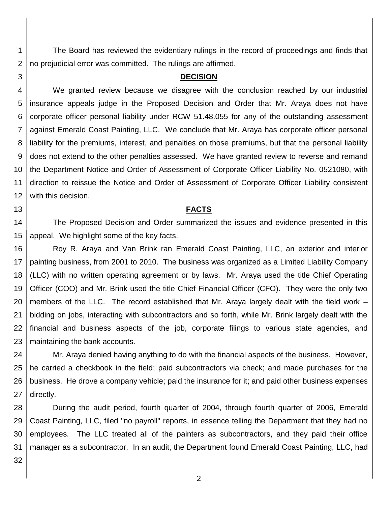The Board has reviewed the evidentiary rulings in the record of proceedings and finds that no prejudicial error was committed. The rulings are affirmed.

#### **DECISION**

4 5 6 7 8 9 10 11 12 We granted review because we disagree with the conclusion reached by our industrial insurance appeals judge in the Proposed Decision and Order that Mr. Araya does not have corporate officer personal liability under RCW 51.48.055 for any of the outstanding assessment against Emerald Coast Painting, LLC. We conclude that Mr. Araya has corporate officer personal liability for the premiums, interest, and penalties on those premiums, but that the personal liability does not extend to the other penalties assessed. We have granted review to reverse and remand the Department Notice and Order of Assessment of Corporate Officer Liability No. 0521080, with direction to reissue the Notice and Order of Assessment of Corporate Officer Liability consistent with this decision.

#### **FACTS**

14 15 The Proposed Decision and Order summarized the issues and evidence presented in this appeal. We highlight some of the key facts.

16 17 18 19 20 21 22 23 Roy R. Araya and Van Brink ran Emerald Coast Painting, LLC, an exterior and interior painting business, from 2001 to 2010. The business was organized as a Limited Liability Company (LLC) with no written operating agreement or by laws. Mr. Araya used the title Chief Operating Officer (COO) and Mr. Brink used the title Chief Financial Officer (CFO). They were the only two members of the LLC. The record established that Mr. Araya largely dealt with the field work – bidding on jobs, interacting with subcontractors and so forth, while Mr. Brink largely dealt with the financial and business aspects of the job, corporate filings to various state agencies, and maintaining the bank accounts.

24 25 26 27 Mr. Araya denied having anything to do with the financial aspects of the business. However, he carried a checkbook in the field; paid subcontractors via check; and made purchases for the business. He drove a company vehicle; paid the insurance for it; and paid other business expenses directly.

28 29 30 31 During the audit period, fourth quarter of 2004, through fourth quarter of 2006, Emerald Coast Painting, LLC, filed "no payroll" reports, in essence telling the Department that they had no employees. The LLC treated all of the painters as subcontractors, and they paid their office manager as a subcontractor. In an audit, the Department found Emerald Coast Painting, LLC, had

32

1

2

3

13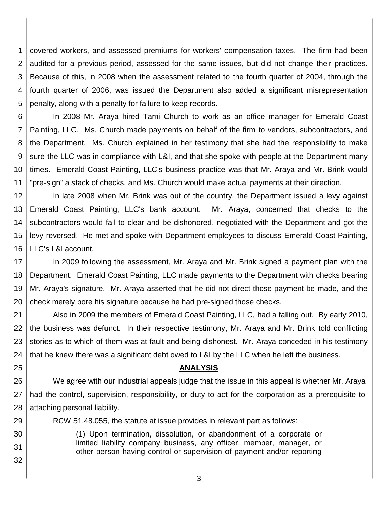1 2 3 4 5 covered workers, and assessed premiums for workers' compensation taxes. The firm had been audited for a previous period, assessed for the same issues, but did not change their practices. Because of this, in 2008 when the assessment related to the fourth quarter of 2004, through the fourth quarter of 2006, was issued the Department also added a significant misrepresentation penalty, along with a penalty for failure to keep records.

6 7 8 9 10 11 In 2008 Mr. Araya hired Tami Church to work as an office manager for Emerald Coast Painting, LLC. Ms. Church made payments on behalf of the firm to vendors, subcontractors, and the Department. Ms. Church explained in her testimony that she had the responsibility to make sure the LLC was in compliance with L&I, and that she spoke with people at the Department many times. Emerald Coast Painting, LLC's business practice was that Mr. Araya and Mr. Brink would "pre-sign" a stack of checks, and Ms. Church would make actual payments at their direction.

12 13 14 15 16 In late 2008 when Mr. Brink was out of the country, the Department issued a levy against Emerald Coast Painting, LLC's bank account. Mr. Araya, concerned that checks to the subcontractors would fail to clear and be dishonored, negotiated with the Department and got the levy reversed. He met and spoke with Department employees to discuss Emerald Coast Painting, LLC's L&I account.

17 18 19 20 In 2009 following the assessment, Mr. Araya and Mr. Brink signed a payment plan with the Department. Emerald Coast Painting, LLC made payments to the Department with checks bearing Mr. Araya's signature. Mr. Araya asserted that he did not direct those payment be made, and the check merely bore his signature because he had pre-signed those checks.

21 22 23 24 Also in 2009 the members of Emerald Coast Painting, LLC, had a falling out. By early 2010, the business was defunct. In their respective testimony, Mr. Araya and Mr. Brink told conflicting stories as to which of them was at fault and being dishonest. Mr. Araya conceded in his testimony that he knew there was a significant debt owed to L&I by the LLC when he left the business.

25

29

30

31

32

#### **ANALYSIS**

26 27 28 We agree with our industrial appeals judge that the issue in this appeal is whether Mr. Araya had the control, supervision, responsibility, or duty to act for the corporation as a prerequisite to attaching personal liability.

RCW 51.48.055, the statute at issue provides in relevant part as follows:

(1) Upon termination, dissolution, or abandonment of a corporate or limited liability company business, any officer, member, manager, or other person having control or supervision of payment and/or reporting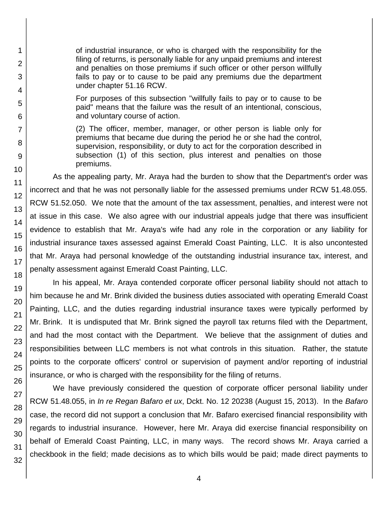of industrial insurance, or who is charged with the responsibility for the filing of returns, is personally liable for any unpaid premiums and interest and penalties on those premiums if such officer or other person willfully fails to pay or to cause to be paid any premiums due the department under chapter 51.16 RCW.

For purposes of this subsection "willfully fails to pay or to cause to be paid" means that the failure was the result of an intentional, conscious, and voluntary course of action.

(2) The officer, member, manager, or other person is liable only for premiums that became due during the period he or she had the control, supervision, responsibility, or duty to act for the corporation described in subsection (1) of this section, plus interest and penalties on those premiums.

As the appealing party, Mr. Araya had the burden to show that the Department's order was incorrect and that he was not personally liable for the assessed premiums under RCW 51.48.055. RCW 51.52.050. We note that the amount of the tax assessment, penalties, and interest were not at issue in this case. We also agree with our industrial appeals judge that there was insufficient evidence to establish that Mr. Araya's wife had any role in the corporation or any liability for industrial insurance taxes assessed against Emerald Coast Painting, LLC. It is also uncontested that Mr. Araya had personal knowledge of the outstanding industrial insurance tax, interest, and penalty assessment against Emerald Coast Painting, LLC.

In his appeal, Mr. Araya contended corporate officer personal liability should not attach to him because he and Mr. Brink divided the business duties associated with operating Emerald Coast Painting, LLC, and the duties regarding industrial insurance taxes were typically performed by Mr. Brink. It is undisputed that Mr. Brink signed the payroll tax returns filed with the Department, and had the most contact with the Department. We believe that the assignment of duties and responsibilities between LLC members is not what controls in this situation. Rather, the statute points to the corporate officers' control or supervision of payment and/or reporting of industrial insurance, or who is charged with the responsibility for the filing of returns.

We have previously considered the question of corporate officer personal liability under RCW 51.48.055, in *In re Regan Bafaro et ux*, Dckt. No. 12 20238 (August 15, 2013). In the *Bafaro* case, the record did not support a conclusion that Mr. Bafaro exercised financial responsibility with regards to industrial insurance. However, here Mr. Araya did exercise financial responsibility on behalf of Emerald Coast Painting, LLC, in many ways. The record shows Mr. Araya carried a checkbook in the field; made decisions as to which bills would be paid; made direct payments to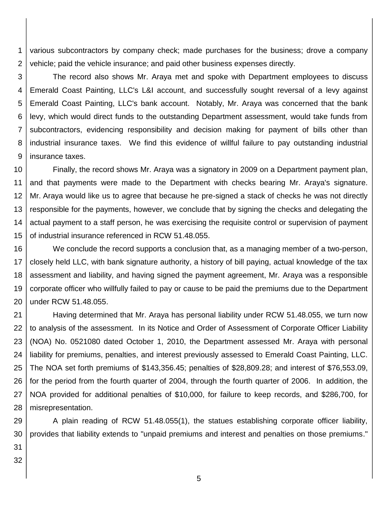1 2 various subcontractors by company check; made purchases for the business; drove a company vehicle; paid the vehicle insurance; and paid other business expenses directly.

3 4 5 6 7 8 9 The record also shows Mr. Araya met and spoke with Department employees to discuss Emerald Coast Painting, LLC's L&I account, and successfully sought reversal of a levy against Emerald Coast Painting, LLC's bank account. Notably, Mr. Araya was concerned that the bank levy, which would direct funds to the outstanding Department assessment, would take funds from subcontractors, evidencing responsibility and decision making for payment of bills other than industrial insurance taxes. We find this evidence of willful failure to pay outstanding industrial insurance taxes.

10 11 12 13 14 15 Finally, the record shows Mr. Araya was a signatory in 2009 on a Department payment plan, and that payments were made to the Department with checks bearing Mr. Araya's signature. Mr. Araya would like us to agree that because he pre-signed a stack of checks he was not directly responsible for the payments, however, we conclude that by signing the checks and delegating the actual payment to a staff person, he was exercising the requisite control or supervision of payment of industrial insurance referenced in RCW 51.48.055.

16 17 18 19 20 We conclude the record supports a conclusion that, as a managing member of a two-person, closely held LLC, with bank signature authority, a history of bill paying, actual knowledge of the tax assessment and liability, and having signed the payment agreement, Mr. Araya was a responsible corporate officer who willfully failed to pay or cause to be paid the premiums due to the Department under RCW 51.48.055.

21 22 23 24 25 26 27 28 Having determined that Mr. Araya has personal liability under RCW 51.48.055, we turn now to analysis of the assessment. In its Notice and Order of Assessment of Corporate Officer Liability (NOA) No. 0521080 dated October 1, 2010, the Department assessed Mr. Araya with personal liability for premiums, penalties, and interest previously assessed to Emerald Coast Painting, LLC. The NOA set forth premiums of \$143,356.45; penalties of \$28,809.28; and interest of \$76,553.09, for the period from the fourth quarter of 2004, through the fourth quarter of 2006. In addition, the NOA provided for additional penalties of \$10,000, for failure to keep records, and \$286,700, for misrepresentation.

29 30 A plain reading of RCW 51.48.055(1), the statues establishing corporate officer liability, provides that liability extends to "unpaid premiums and interest and penalties on those premiums."

31 32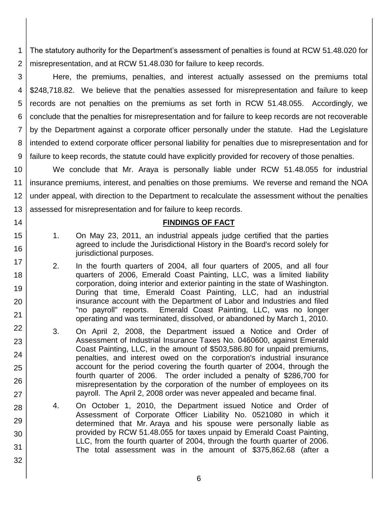1 2 The statutory authority for the Department's assessment of penalties is found at RCW 51.48.020 for misrepresentation, and at RCW 51.48.030 for failure to keep records.

3 4 5 6 7 8 9 Here, the premiums, penalties, and interest actually assessed on the premiums total \$248,718.82. We believe that the penalties assessed for misrepresentation and failure to keep records are not penalties on the premiums as set forth in RCW 51.48.055. Accordingly, we conclude that the penalties for misrepresentation and for failure to keep records are not recoverable by the Department against a corporate officer personally under the statute. Had the Legislature intended to extend corporate officer personal liability for penalties due to misrepresentation and for failure to keep records, the statute could have explicitly provided for recovery of those penalties.

10 11 12 13 We conclude that Mr. Araya is personally liable under RCW 51.48.055 for industrial insurance premiums, interest, and penalties on those premiums. We reverse and remand the NOA under appeal, with direction to the Department to recalculate the assessment without the penalties assessed for misrepresentation and for failure to keep records.

### **FINDINGS OF FACT**

- 1. On May 23, 2011, an industrial appeals judge certified that the parties agreed to include the Jurisdictional History in the Board's record solely for jurisdictional purposes.
- 2. In the fourth quarters of 2004, all four quarters of 2005, and all four quarters of 2006, Emerald Coast Painting, LLC, was a limited liability corporation, doing interior and exterior painting in the state of Washington. During that time, Emerald Coast Painting, LLC, had an industrial insurance account with the Department of Labor and Industries and filed "no payroll" reports. Emerald Coast Painting, LLC, was no longer operating and was terminated, dissolved, or abandoned by March 1, 2010.
- 3. On April 2, 2008, the Department issued a Notice and Order of Assessment of Industrial Insurance Taxes No. 0460600, against Emerald Coast Painting, LLC, in the amount of \$503,586.80 for unpaid premiums, penalties, and interest owed on the corporation's industrial insurance account for the period covering the fourth quarter of 2004, through the fourth quarter of 2006. The order included a penalty of \$286,700 for misrepresentation by the corporation of the number of employees on its payroll. The April 2, 2008 order was never appealed and became final.
- 4. On October 1, 2010, the Department issued Notice and Order of Assessment of Corporate Officer Liability No. 0521080 in which it determined that Mr. Araya and his spouse were personally liable as provided by RCW 51.48.055 for taxes unpaid by Emerald Coast Painting, LLC, from the fourth quarter of 2004, through the fourth quarter of 2006. The total assessment was in the amount of \$375,862.68 (after a
	-

14

15

16

17

18

19

20

21 22

23

24

25

26

27

28

29

30

31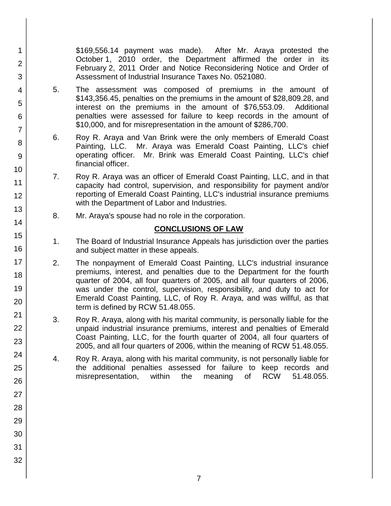\$169,556.14 payment was made). After Mr. Araya protested the October 1, 2010 order, the Department affirmed the order in its February 2, 2011 Order and Notice Reconsidering Notice and Order of Assessment of Industrial Insurance Taxes No. 0521080.

- 5. The assessment was composed of premiums in the amount of \$143,356.45, penalties on the premiums in the amount of \$28,809.28, and interest on the premiums in the amount of \$76,553.09. Additional penalties were assessed for failure to keep records in the amount of \$10,000, and for misrepresentation in the amount of \$286,700.
- 6. Roy R. Araya and Van Brink were the only members of Emerald Coast Painting, LLC. Mr. Araya was Emerald Coast Painting, LLC's chief operating officer. Mr. Brink was Emerald Coast Painting, LLC's chief financial officer.
- 7. Roy R. Araya was an officer of Emerald Coast Painting, LLC, and in that capacity had control, supervision, and responsibility for payment and/or reporting of Emerald Coast Painting, LLC's industrial insurance premiums with the Department of Labor and Industries.
	- 8. Mr. Araya's spouse had no role in the corporation.

# **CONCLUSIONS OF LAW**

- 1. The Board of Industrial Insurance Appeals has jurisdiction over the parties and subject matter in these appeals.
- 2. The nonpayment of Emerald Coast Painting, LLC's industrial insurance premiums, interest, and penalties due to the Department for the fourth quarter of 2004, all four quarters of 2005, and all four quarters of 2006, was under the control, supervision, responsibility, and duty to act for Emerald Coast Painting, LLC, of Roy R. Araya, and was willful, as that term is defined by RCW 51.48.055.
- 3. Roy R. Araya, along with his marital community, is personally liable for the unpaid industrial insurance premiums, interest and penalties of Emerald Coast Painting, LLC, for the fourth quarter of 2004, all four quarters of 2005, and all four quarters of 2006, within the meaning of RCW 51.48.055.
- 4. Roy R. Araya, along with his marital community, is not personally liable for the additional penalties assessed for failure to keep records and misrepresentation, within the meaning of RCW 51.48.055.
- 1 2 3 4 5 6 7 8 9 10 11 12 13 14 15 16 17 18 19 20 21 22 23 24 25 26 27 28 29 30 31 32